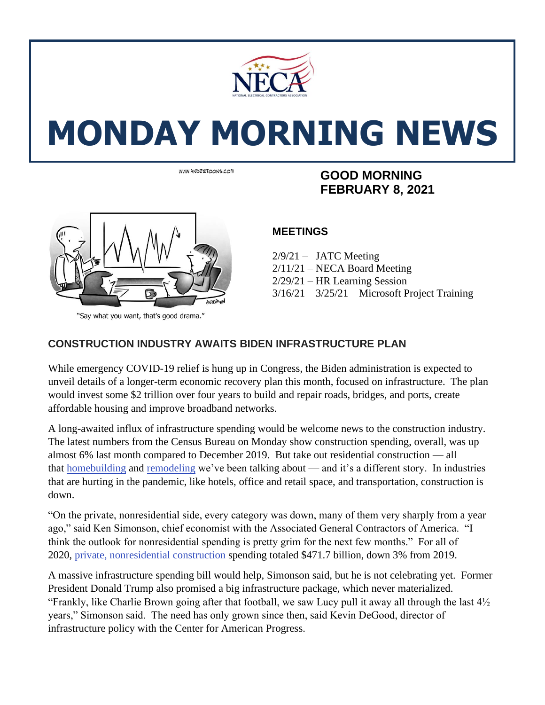

# **MONDAY MORNING NEWS**



"Say what you want, that's good drama."

## **FIGURE ASSOCIATE SOUND RESPOND ASSOCIATION COOD MORNING FEBRUARY 8, 2021**

#### **MEETINGS**

 $2/9/21 - JATC$  Meeting 2/11/21 – NECA Board Meeting 2/29/21 – HR Learning Session  $3/16/21 - 3/25/21$  – Microsoft Project Training

#### **CONSTRUCTION INDUSTRY AWAITS BIDEN INFRASTRUCTURE PLAN**

While emergency COVID-19 relief is hung up in Congress, the Biden administration is expected to unveil details of a longer-term economic recovery plan this month, focused on infrastructure. The plan would invest some \$2 trillion over four years to build and repair roads, bridges, and ports, create affordable housing and improve broadband networks.

A long-awaited influx of infrastructure spending would be welcome news to the construction industry. The latest numbers from the Census Bureau on Monday show construction spending, overall, was up almost 6% last month compared to December 2019. But take out residential construction — all that [homebuilding](https://www.marketplace.org/2021/01/29/are-we-in-a-housing-bubble/) and [remodeling](https://www.marketplace.org/2021/01/28/pandemic-home-improvement-can-lead-to-remodelers-remorse/) we've been talking about — and it's a different story. In industries that are hurting in the pandemic, like hotels, office and retail space, and transportation, construction is down.

"On the private, nonresidential side, every category was down, many of them very sharply from a year ago," said Ken Simonson, chief economist with the Associated General Contractors of America. "I think the outlook for nonresidential spending is pretty grim for the next few months." For all of 2020, [private,](https://www.census.gov/construction/c30/pdf/release.pdf) [nonresidential](https://www.census.gov/construction/c30/pdf/release.pdf) [construction](https://www.census.gov/construction/c30/pdf/release.pdf) spending totaled \$471.7 billion, down 3% from 2019.

A massive infrastructure spending bill would help, Simonson said, but he is not celebrating yet. Former President Donald Trump also promised a big infrastructure package, which never materialized. "Frankly, like Charlie Brown going after that football, we saw Lucy pull it away all through the last 4½ years," Simonson said. The need has only grown since then, said Kevin DeGood, director of infrastructure policy with the Center for American Progress.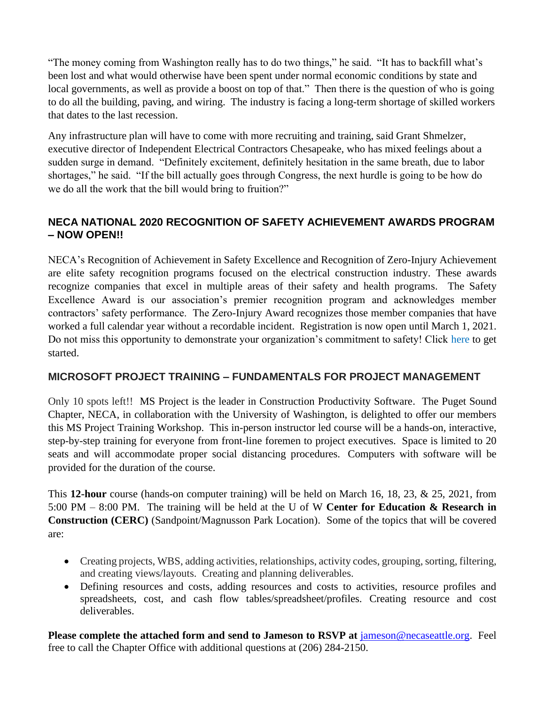"The money coming from Washington really has to do two things," he said. "It has to backfill what's been lost and what would otherwise have been spent under normal economic conditions by state and local governments, as well as provide a boost on top of that." Then there is the question of who is going to do all the building, paving, and wiring. The industry is facing a long-term shortage of skilled workers that dates to the last recession.

Any infrastructure plan will have to come with more recruiting and training, said Grant Shmelzer, executive director of Independent Electrical Contractors Chesapeake, who has mixed feelings about a sudden surge in demand. "Definitely excitement, definitely hesitation in the same breath, due to labor shortages," he said. "If the bill actually goes through Congress, the next hurdle is going to be how do we do all the work that the bill would bring to fruition?"

#### **NECA NATIONAL 2020 RECOGNITION OF SAFETY ACHIEVEMENT AWARDS PROGRAM – NOW OPEN!!**

NECA's Recognition of Achievement in Safety Excellence and Recognition of Zero-Injury Achievement are elite safety recognition programs focused on the electrical construction industry. These awards recognize companies that excel in multiple areas of their safety and health programs. The Safety Excellence Award is our association's premier recognition program and acknowledges member contractors' safety performance. The Zero-Injury Award recognizes those member companies that have worked a full calendar year without a recordable incident. Registration is now open until March 1, 2021. Do not miss this opportunity to demonstrate your organization's commitment to safety! Click [here](https://www.necanet.org/about-us/awards/neca-safety-awards-program?utm_campaign=Safety%20Network&utm_medium=email&_hsmi=105719190&_hsenc=p2ANqtz-_Fdzrm2w1pv1iQ0R0nBaMUAcTvTwjDGQyryJc84jhPIEJ8va3efWSsrF6wuZEUAK-UsuAuwIzhXzz8p0rBIQ66xrGWdg&utm_content=105719190&utm_source=hs_email) to get started.

#### **MICROSOFT PROJECT TRAINING – FUNDAMENTALS FOR PROJECT MANAGEMENT**

Only 10 spots left!! MS Project is the leader in Construction Productivity Software. The Puget Sound Chapter, NECA, in collaboration with the University of Washington, is delighted to offer our members this MS Project Training Workshop. This in-person instructor led course will be a hands-on, interactive, step-by-step training for everyone from front-line foremen to project executives. Space is limited to 20 seats and will accommodate proper social distancing procedures. Computers with software will be provided for the duration of the course.

This **12-hour** course (hands-on computer training) will be held on March 16, 18, 23, & 25, 2021, from 5:00 PM – 8:00 PM. The training will be held at the U of W **Center for Education & Research in Construction (CERC)** (Sandpoint/Magnusson Park Location). Some of the topics that will be covered are:

- Creating projects, WBS, adding activities, relationships, activity codes, grouping, sorting, filtering, and creating views/layouts. Creating and planning deliverables.
- Defining resources and costs, adding resources and costs to activities, resource profiles and spreadsheets, cost, and cash flow tables/spreadsheet/profiles. Creating resource and cost deliverables.

**Please complete the attached form and send to Jameson to RSVP at** [jameson@necaseattle.org.](mailto:jameson@necaseattle.org) Feel free to call the Chapter Office with additional questions at (206) 284-2150.